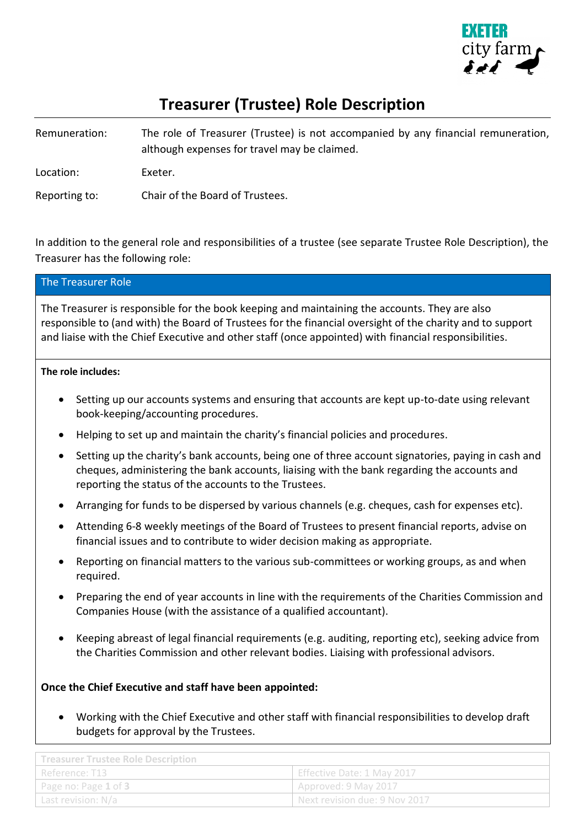

# **Treasurer (Trustee) Role Description**

Remuneration: The role of Treasurer (Trustee) is not accompanied by any financial remuneration, although expenses for travel may be claimed. Location: Exeter. Reporting to: Chair of the Board of Trustees.

In addition to the general role and responsibilities of a trustee (see separate Trustee Role Description), the Treasurer has the following role:

| The Treasurer Role                                                                                                                                                                                                                                                                                                  |
|---------------------------------------------------------------------------------------------------------------------------------------------------------------------------------------------------------------------------------------------------------------------------------------------------------------------|
| The Treasurer is responsible for the book keeping and maintaining the accounts. They are also<br>responsible to (and with) the Board of Trustees for the financial oversight of the charity and to support<br>and liaise with the Chief Executive and other staff (once appointed) with financial responsibilities. |

#### **The role includes:**

- Setting up our accounts systems and ensuring that accounts are kept up-to-date using relevant book-keeping/accounting procedures.
- Helping to set up and maintain the charity's financial policies and procedures.
- Setting up the charity's bank accounts, being one of three account signatories, paying in cash and cheques, administering the bank accounts, liaising with the bank regarding the accounts and reporting the status of the accounts to the Trustees.
- Arranging for funds to be dispersed by various channels (e.g. cheques, cash for expenses etc).
- Attending 6-8 weekly meetings of the Board of Trustees to present financial reports, advise on financial issues and to contribute to wider decision making as appropriate.
- Reporting on financial matters to the various sub-committees or working groups, as and when required.
- Preparing the end of year accounts in line with the requirements of the Charities Commission and Companies House (with the assistance of a qualified accountant).
- Keeping abreast of legal financial requirements (e.g. auditing, reporting etc), seeking advice from the Charities Commission and other relevant bodies. Liaising with professional advisors.

# **Once the Chief Executive and staff have been appointed:**

• Working with the Chief Executive and other staff with financial responsibilities to develop draft budgets for approval by the Trustees.

| Treasurer Trustee Role Description |                                |  |
|------------------------------------|--------------------------------|--|
| Reference: T13                     | Effective Date: 1 May 2017     |  |
| Page no: Page 1 of 3               | Approved: 9 May 2017           |  |
| Last revision: N/a                 | UNext revision due: 9 Nov 2017 |  |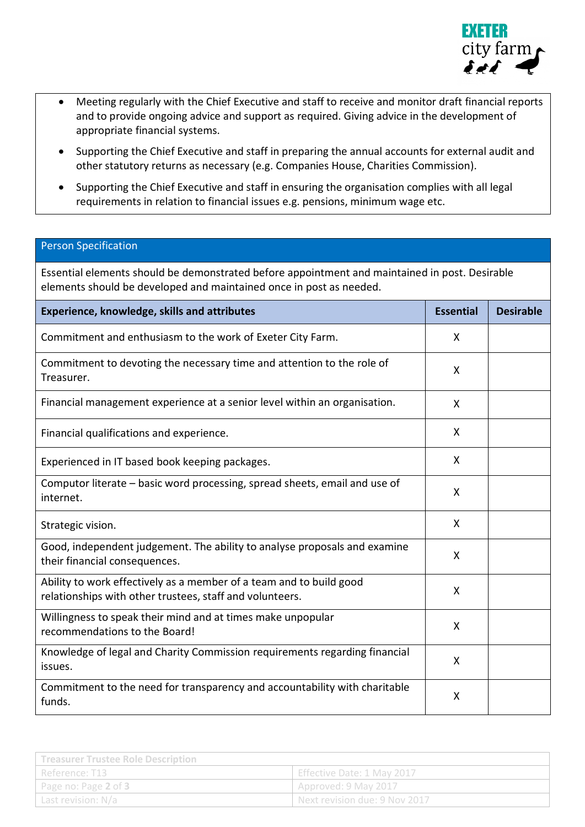

- Meeting regularly with the Chief Executive and staff to receive and monitor draft financial reports and to provide ongoing advice and support as required. Giving advice in the development of appropriate financial systems.
- Supporting the Chief Executive and staff in preparing the annual accounts for external audit and other statutory returns as necessary (e.g. Companies House, Charities Commission).
- Supporting the Chief Executive and staff in ensuring the organisation complies with all legal requirements in relation to financial issues e.g. pensions, minimum wage etc.

## Person Specification

Essential elements should be demonstrated before appointment and maintained in post. Desirable elements should be developed and maintained once in post as needed.

| <b>Experience, knowledge, skills and attributes</b>                                                                             | <b>Essential</b> | <b>Desirable</b> |
|---------------------------------------------------------------------------------------------------------------------------------|------------------|------------------|
| Commitment and enthusiasm to the work of Exeter City Farm.                                                                      | X                |                  |
| Commitment to devoting the necessary time and attention to the role of<br>Treasurer.                                            | X                |                  |
| Financial management experience at a senior level within an organisation.                                                       | X                |                  |
| Financial qualifications and experience.                                                                                        | X                |                  |
| Experienced in IT based book keeping packages.                                                                                  | X                |                  |
| Computor literate – basic word processing, spread sheets, email and use of<br>internet.                                         | X                |                  |
| Strategic vision.                                                                                                               | X                |                  |
| Good, independent judgement. The ability to analyse proposals and examine<br>their financial consequences.                      | X                |                  |
| Ability to work effectively as a member of a team and to build good<br>relationships with other trustees, staff and volunteers. | X                |                  |
| Willingness to speak their mind and at times make unpopular<br>recommendations to the Board!                                    | X                |                  |
| Knowledge of legal and Charity Commission requirements regarding financial<br>issues.                                           | X                |                  |
| Commitment to the need for transparency and accountability with charitable<br>funds.                                            | X                |                  |

| Treasurer Trustee Role Description |                               |  |
|------------------------------------|-------------------------------|--|
| Reference: T13                     | Effective Date: 1 May 2017    |  |
| Page no: Page 2 of 3               | Approved: 9 May 2017          |  |
| Last revision: N/a                 | Next revision due: 9 Nov 2017 |  |